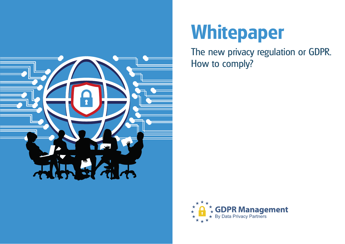

# **Whitepaper**

The new privacy regulation or GDPR. How to comply?

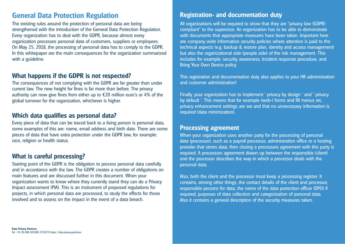# **General Data Protection Regulation**

The existing rules around the protection of personal data are being strengthened with the introduction of the General Data Protection Regulation. Every organization has to deal with the GDPR, because almost every organization processes personal data of customers, suppliers or employees. On May 25, 2018, the processing of personal data has to comply to the GDPR. In this whitepaper are the main consequences for the organization summarized with a guideline.

# **What happens if the GDPR is not respected?**

The consequences of not complying with the GDPR are far greater than under current law. The new height for fines is far more than before. The privacy authority can now give fines from either up to €20 million euro's or 4% of the global turnover for the organization, whichever is higher.

## **Which data qualifies as personal data?**

Every piece of data that can be traced back to a living person is personal data, some examples of this are: name, email address and birth date. There are some pieces of data that have extra protection under the GDPR law, for example: race, religion or health status.

### **What is careful processing?**

Starting point of the GDPR is the obligation to process personal data carefully and in accordance with the law. The GDPR creates a number of obligations on main features and are discussed further in this document. When your organization wants to know where they currently stand they can do a Privacy Impact assessment (PIA). This is an instrument of proposed regulations for projects, in which personal data are processed, to study the effects for those involved and to assess on the impact in the event of a data breach.

# **Registration- and documentation duty**

All organizations will be required to show that they are "privacy law (GDPR) compliant" to the supervisor. An organization has to be able to demonstrate with documents that appropriate measures have been taken. Important here are company wide information security policies where attention is paid to the technical aspects (e.g. backup & restore plan, identity and access management) but also the organizational side (people side) of the risk management. This includes for example: security awareness, Incident response procedure, and Bring Your Own Device policy.

This registration and documentation duty also applies to your HR administration and customer administration!

Finally, your organization has to implement ' privacy by design ' and ' privacy by default '. This means that for example (web-) forms and fill menus etc. privacy enhancement settings are set and that no unnecessary information is required (data minimization).

#### **Processing agreement**

When your organization uses another party for the processing of personal data (processor), such as a payroll processor, administration office or a hosting provider that stores data, then closing a processors agreement with this party is required. A processors agreement drawn up between the responsible (client) and the processor describes the way in which a processor deals with the personal data.

Also, both the client and the processor must keep a processing register. It contains, among other things, the contact details of the client and processor, responsible persons for data, the name of the data protection officer (DPO) if required, purposes of data collection and categorization of personal data. Also it contains a general description of the security measures taken.